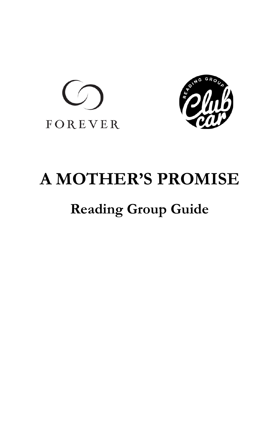



## **A MOTHER'S PROMISE**

## **Reading Group Guide**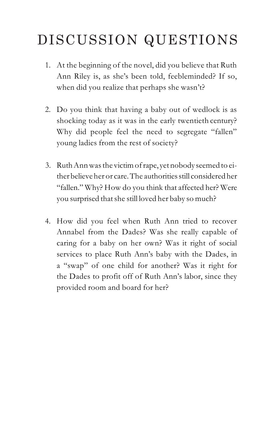## DISCUSSION QUESTIONS

- 1. At the beginning of the novel, did you believe that Ruth Ann Riley is, as she's been told, feebleminded? If so, when did you realize that perhaps she wasn't?
- 2. Do you think that having a baby out of wedlock is as shocking today as it was in the early twentieth century? Why did people feel the need to segregate "fallen" young ladies from the rest of society?
- 3. RuthAnnwasthe victimofrape, yet nobody seemed to either believe her or care.The authoritiesstill considered her "fallen." Why? How do you think that affected her? Were you surprised thatshe still loved her baby so much?
- 4. How did you feel when Ruth Ann tried to recover Annabel from the Dades? Was she really capable of caring for a baby on her own? Was it right of social services to place Ruth Ann's baby with the Dades, in a "swap" of one child for another? Was it right for the Dades to profit off of Ruth Ann's labor, since they provided room and board for her?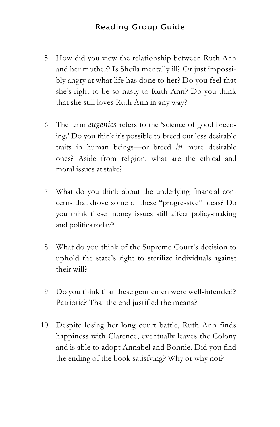- 5. How did you view the relationship between Ruth Ann and her mother? Is Sheila mentally ill? Or just impossibly angry at what life has done to her? Do you feel that she's right to be so nasty to Ruth Ann? Do you think that she still loves Ruth Ann in any way?
- 6. The term *eugenics* refers to the 'science of good breeding.' Do you think it's possible to breed out less desirable traits in human beings—or breed *in* more desirable ones? Aside from religion, what are the ethical and moral issues atstake?
- 7. What do you think about the underlying financial concerns that drove some of these "progressive" ideas? Do you think these money issues still affect policy-making and politics today?
- 8. What do you think of the Supreme Court's decision to uphold the state's right to sterilize individuals against their will?
- 9. Do you think that these gentlemen were well-intended? Patriotic? That the end justified the means?
- 10. Despite losing her long court battle, Ruth Ann finds happiness with Clarence, eventually leaves the Colony and is able to adopt Annabel and Bonnie. Did you find the ending of the book satisfying? Why or why not?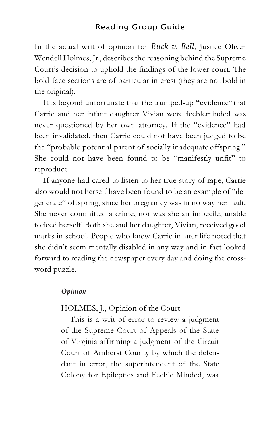In the actual writ of opinion for *Buck v. Bell*, Justice Oliver Wendell Holmes, Jr., describes the reasoning behind the Supreme Court's decision to uphold the findings of the lower court. The bold-face sections are of particular interest (they are not bold in the original).

It is beyond unfortunate that the trumped-up "evidence" that Carrie and her infant daughter Vivian were feebleminded was never questioned by her own attorney. If the "evidence" had been invalidated, then Carrie could not have been judged to be the "probable potential parent of socially inadequate offspring." She could not have been found to be "manifestly unfit" to reproduce.

If anyone had cared to listen to her true story of rape, Carrie also would not herself have been found to be an example of "degenerate" offspring, since her pregnancy was in no way her fault. She never committed a crime, nor was she an imbecile, unable to feed herself. Both she and her daughter, Vivian, received good marks in school. People who knew Carrie in later life noted that she didn't seem mentally disabled in any way and in fact looked forward to reading the newspaper every day and doing the crossword puzzle.

#### *Opinion*

#### HOLMES, J., Opinion of the Court

This is a writ of error to review a judgment of the Supreme Court of Appeals of the State of Virginia affirming a judgment of the Circuit Court of Amherst County by which the defendant in error, the superintendent of the State Colony for Epileptics and Feeble Minded, was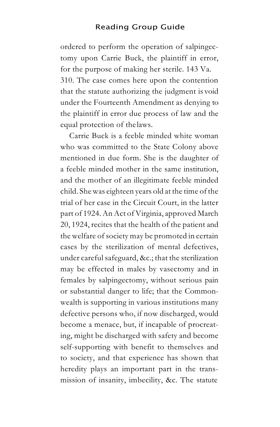ordered to perform the operation of salpingectomy upon Carrie Buck, the plaintiff in error, for the purpose of making her sterile. 143 Va. 310. The case comes here upon the contention that the statute authorizing the judgment is void under the Fourteenth Amendment as denying to the plaintiff in error due process of law and the equal protection of thelaws.

Carrie Buck is a feeble minded white woman who was committed to the State Colony above mentioned in due form. She is the daughter of a feeble minded mother in the same institution, and the mother of an illegitimate feeble minded child. She was eighteen years old at the time of the trial of her case in the Circuit Court, in the latter part of 1924.An Act of Virginia, approved March 20, 1924, recites that the health of the patient and the welfare of society may be promoted in certain cases by the sterilization of mental defectives, under careful safeguard, &c.; that the sterilization may be effected in males by vasectomy and in females by salpingectomy, without serious pain or substantial danger to life; that the Commonwealth is supporting in various institutions many defective persons who, if now discharged, would become a menace, but, if incapable of procreating, might be discharged with safety and become self-supporting with benefit to themselves and to society, and that experience has shown that heredity plays an important part in the transmission of insanity, imbecility, &c. The statute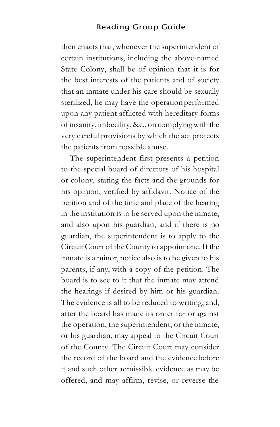then enacts that, whenever the superintendent of certain institutions, including the above-named State Colony, shall be of opinion that it is for the best interests of the patients and of society that an inmate under his care should be sexually sterilized, he may have the operation performed upon any patient afflicted with hereditary forms of insanity, imbecility, &c., on complying with the very careful provisions by which the act protects the patients from possible abuse.

The superintendent first presents a petition to the special board of directors of his hospital or colony, stating the facts and the grounds for his opinion, verified by affidavit. Notice of the petition and of the time and place of the hearing in the institution is to be served upon the inmate, and also upon his guardian, and if there is no guardian, the superintendent is to apply to the Circuit Court of the County to appoint one. If the inmate is a minor, notice also is to be given to his parents, if any, with a copy of the petition. The board is to see to it that the inmate may attend the hearings if desired by him or his guardian. The evidence is all to be reduced to writing, and, after the board has made its order for or against the operation, the superintendent, or the inmate, or his guardian, may appeal to the Circuit Court of the County. The Circuit Court may consider the record of the board and the evidence before it and such other admissible evidence as may be offered, and may affirm, revise, or reverse the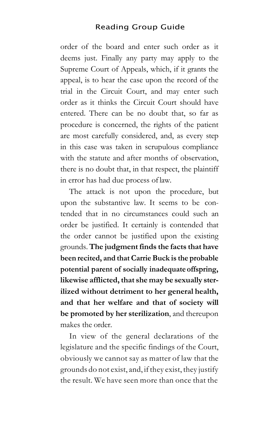order of the board and enter such order as it deems just. Finally any party may apply to the Supreme Court of Appeals, which, if it grants the appeal, is to hear the case upon the record of the trial in the Circuit Court, and may enter such order as it thinks the Circuit Court should have entered. There can be no doubt that, so far as procedure is concerned, the rights of the patient are most carefully considered, and, as every step in this case was taken in scrupulous compliance with the statute and after months of observation. there is no doubt that, in that respect, the plaintiff in error has had due process oflaw.

The attack is not upon the procedure, but upon the substantive law. It seems to be contended that in no circumstances could such an order be justified. It certainly is contended that the order cannot be justified upon the existing grounds.**The judgment finds the facts that have been recited, and that Carrie Buck is the probable potential parent of socially inadequate offspring, likewise afflicted, that she may be sexually sterilized without detriment to her general health, and that her welfare and that of society will be promoted by her sterilization**, and thereupon makes the order.

In view of the general declarations of the legislature and the specific findings of the Court, obviously we cannot say as matter of law that the grounds do not exist, and, ifthey exist, they justify the result. We have seen more than once that the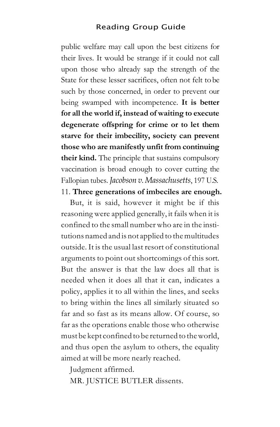public welfare may call upon the best citizens for their lives. It would be strange if it could not call upon those who already sap the strength of the State for these lesser sacrifices, often not felt to be such by those concerned, in order to prevent our being swamped with incompetence. **It is better for all the world if, instead of waiting to execute degenerate offspring for crime or to let them starve for their imbecility, society can prevent those who are manifestly unfit from continuing their kind.** The principle that sustains compulsory vaccination is broad enough to cover cutting the Fallopian tubes. *Jacobson v. Massachusetts*, 197 U.S.

#### 11. **Three generations of imbeciles are enough.**

But, it is said, however it might be if this reasoning were applied generally, it fails when it is confined to the small number who are in the institutions named and is not applied to themultitudes outside. It is the usual last resort of constitutional arguments to point out shortcomings of this sort. But the answer is that the law does all that is needed when it does all that it can, indicates a policy, applies it to all within the lines, and seeks to bring within the lines all similarly situated so far and so fast as its means allow. Of course, so far as the operations enable those who otherwise must be kept confined to be returned to theworld, and thus open the asylum to others, the equality aimed at will be more nearly reached.

Judgment affirmed.

MR. JUSTICE BUTLER dissents.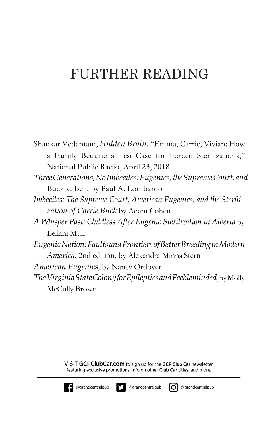### FURTHER READING

Shankar Vedantam, *Hidden Brain*. "Emma, Carrie, Vivian: How a Family Became a Test Case for Forced Sterilizations," National Public Radio, April 23, 2018 *ThreeGenerations,NoImbeciles:Eugenics,theSupremeCourt,and* Buck v. Bell, by Paul A. Lombardo *Imbeciles: The Supreme Court, American Eugenics, and the Sterilization of Carrie Buck* by Adam Cohen *A Whisper Past: Childless After Eugenic Sterilization in Alberta* by Leilani Muir *EugenicNation:FaultsandFrontiersofBetterBreedinginModern America*, 2nd edition, by Alexandra Minna Stern *American Eugenics*, by Nancy Ordover *TheVirginiaStateColonyforEpilepticsandFeebleminded*,byMolly McCully Brown

> VISIT GCPCIubCar.com to sign up for the GCP Club Car newsletter, featuring exclusive promotions, info on other Club Car titles, and more.



@grandcentralpub

@grandcentralpub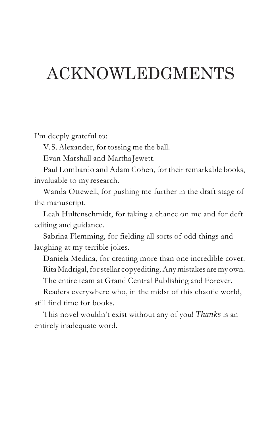## ACKNOWLEDGMENTS

I'm deeply grateful to:

V. S. Alexander, for tossing me the ball.

Evan Marshall and Martha Jewett.

Paul Lombardo and Adam Cohen, for their remarkable books, invaluable to my research.

Wanda Ottewell, for pushing me further in the draft stage of the manuscript.

Leah Hultenschmidt, for taking a chance on me and for deft editing and guidance.

Sabrina Flemming, for fielding all sorts of odd things and laughing at my terrible jokes.

Daniela Medina, for creating more than one incredible cover. Rita Madrigal, for stellar copyediting. Any mistakes are my own.

The entire team at Grand Central Publishing and Forever.

Readers everywhere who, in the midst of this chaotic world, still find time for books.

This novel wouldn't exist without any of you! *Thanks* is an entirely inadequate word.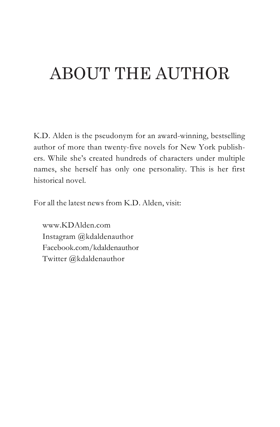## ABOUT THE AUTHOR

K.D. Alden is the pseudonym for an award-winning, bestselling author of more than twenty-five novels for New York publishers. While she's created hundreds of characters under multiple names, she herself has only one personality. This is her first historical novel.

For all the latest news from K.D. Alden, visit:

www.KDAlden.com Instagram @kdaldenauthor Facebook.com/kdaldenauthor Twitter @kdaldenauthor